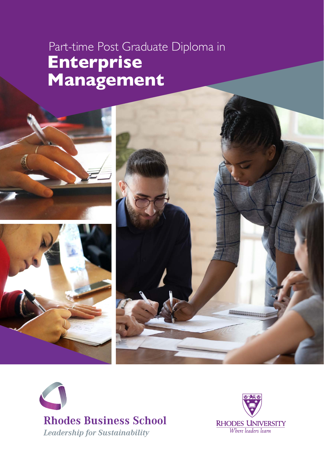# Part-time Post Graduate Diploma in **Enterprise Management**





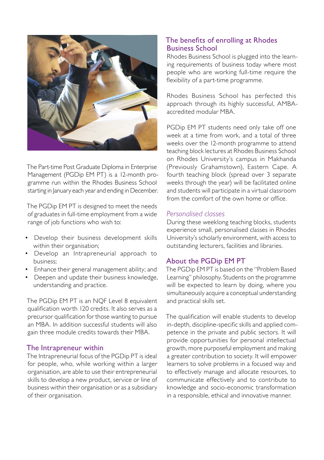

The Part-time Post Graduate Diploma in Enterprise Management (PGDip EM PT) is a 12-month programme run within the Rhodes Business School starting in January each year and ending in December.

The PGDip EM PT is designed to meet the needs of graduates in full-time employment from a wide range of job functions who wish to:

- Develop their business development skills within their organisation;
- Develop an Intrapreneurial approach to business;
- Enhance their general management ability; and
- Deepen and update their business knowledge, understanding and practice.

The PGDip EM PT is an NQF Level 8 equivalent qualification worth 120 credits. It also serves as a precursor qualification for those wanting to pursue an MBA. In addition successful students will also gain three module credits towards their MBA.

## The Intrapreneur within

The Intrapreneurial focus of the PGDip PT is ideal for people, who, while working within a larger organisation, are able to use their entrepreneurial skills to develop a new product, service or line of business within their organisation or as a subsidiary of their organisation.

## The benefits of enrolling at Rhodes Business School

Rhodes Business School is plugged into the learning requirements of business today where most people who are working full-time require the flexibility of a part-time programme.

Rhodes Business School has perfected this approach through its highly successful, AMBAaccredited modular MBA.

PGDip EM PT students need only take off one week at a time from work, and a total of three weeks over the 12-month programme to attend teaching block lectures at Rhodes Business School on Rhodes University's campus in Makhanda (Previously Grahamstown), Eastern Cape. A fourth teaching block (spread over 3 separate weeks through the year) will be facilitated online and students will participate in a virtual classroom from the comfort of the own home or office.

## *Personalised classes*

During these weeklong teaching blocks, students experience small, personalised classes in Rhodes University's scholarly environment, with access to outstanding lecturers, facilities and libraries.

## About the PGDip EM PT

The PGDip EM PT is based on the "Problem Based Learning" philosophy. Students on the programme will be expected to learn by doing, where you simultaneously acquire a conceptual understanding and practical skills set.

The qualification will enable students to develop in-depth, discipline-specific skills and applied competence in the private and public sectors. It will provide opportunities for personal intellectual growth, more purposeful employment and making a greater contribution to society. It will empower learners to solve problems in a focused way and to effectively manage and allocate resources, to communicate effectively and to contribute to knowledge and socio-economic transformation in a responsible, ethical and innovative manner.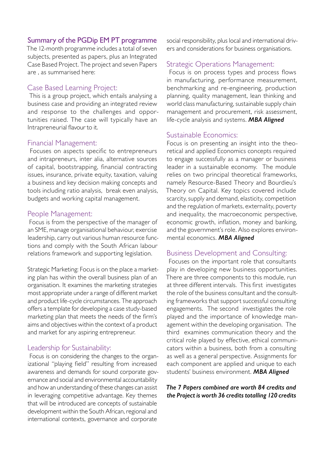## Summary of the PGDip EM PT programme

The 12-month programme includes a total of seven subjects, presented as papers, plus an Integrated Case Based Project. The project and seven Papers are , as summarised here:

#### Case Based Learning Project:

 This is a group project, which entails analysing a business case and providing an integrated review and response to the challenges and opportunities raised. The case will typically have an Intrapreneurial flavour to it.

#### Financial Management:

 Focuses on aspects specific to entrepreneurs and intrapreneurs, inter alia, alternative sources of capital, bootstrapping, financial contracting issues, insurance, private equity, taxation, valuing a business and key decision making concepts and tools including ratio analysis, break even analysis, budgets and working capital management.

#### People Management:

 Focus is from the perspective of the manager of an SME, manage organisational behaviour, exercise leadership, carry out various human resource functions and comply with the South African labour relations framework and supporting legislation.

Strategic Marketing: Focus is on the place a marketing plan has within the overall business plan of an organisation. It examines the marketing strategies most appropriate under a range of different market and product life-cycle circumstances. The approach offers a template for developing a case study-based marketing plan that meets the needs of the firm's aims and objectives within the context of a product and market for any aspiring entrepreneur.

#### Leadership for Sustainability:

 Focus is on considering the changes to the organizational "playing field" resulting from increased awareness and demands for sound corporate governance and social and environmental accountability and how an understanding of these changes can assist in leveraging competitive advantage. Key themes that will be introduced are concepts of sustainable development within the South African, regional and international contexts, governance and corporate

social responsibility, plus local and international drivers and considerations for business organisations.

#### Strategic Operations Management:

 Focus is on process types and process flows in manufacturing, performance measurement, benchmarking and re-engineering, production planning, quality management, lean thinking and world class manufacturing, sustainable supply chain management and procurement, risk assessment, life-cycle analysis and systems. *MBA Aligned*

#### Sustainable Economics:

Focus is on presenting an insight into the theoretical and applied Economics concepts required to engage successfully as a manager or business leader in a sustainable economy. The module relies on two principal theoretical frameworks, namely Resource-Based Theory and Bourdieu's Theory on Capital. Key topics covered include scarcity, supply and demand, elasticity, competition and the regulation of markets, externality, poverty and inequality, the macroeconomic perspective, economic growth, inflation, money and banking, and the government's role. Also explores environmental economics. *MBA Aligned*

#### Business Development and Consulting:

 Focuses on the important role that consultants play in developing new business opportunities. There are three components to this module, run at three different intervals. This first investigates the role of the business consultant and the consulting frameworks that support successful consulting engagements. The second investigates the role played and the importance of knowledge management within the developing organisation. The third examines communication theory and the critical role played by effective, ethical communicators within a business, both from a consulting as well as a general perspective. Assignments for each component are applied and unique to each students' business environment. *MBA Aligned*

#### *The 7 Papers combined are worth 84 credits and the Project is worth 36 credits totalling 120 credits*